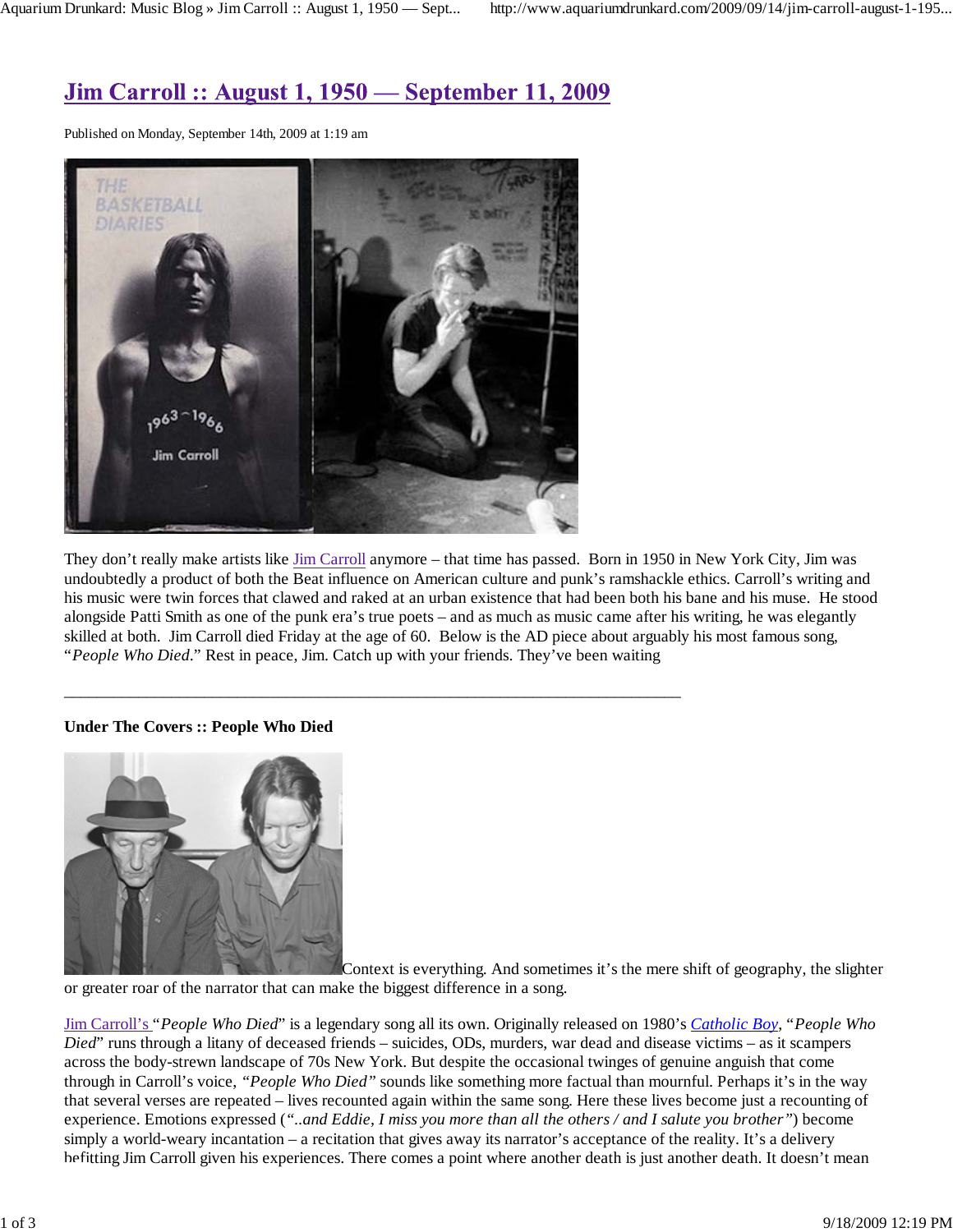# **Jim Carroll :: August 1, 1950 — September 11, 2009**

Published on Monday, September 14th, 2009 at 1:19 am



They don't really make artists like Jim Carroll anymore – that time has passed. Born in 1950 in New York City, Jim was undoubtedly a product of both the Beat influence on American culture and punk's ramshackle ethics. Carroll's writing and his music were twin forces that clawed and raked at an urban existence that had been both his bane and his muse. He stood alongside Patti Smith as one of the punk era's true poets – and as much as music came after his writing, he was elegantly skilled at both. Jim Carroll died Friday at the age of 60. Below is the AD piece about arguably his most famous song, "*People Who Died*." Rest in peace, Jim. Catch up with your friends. They've been waiting

### **Under The Covers :: People Who Died**



Context is everything. And sometimes it's the mere shift of geography, the slighter

or greater roar of the narrator that can make the biggest difference in a song.

 $\overline{\phantom{a}}$  ,  $\overline{\phantom{a}}$  ,  $\overline{\phantom{a}}$  ,  $\overline{\phantom{a}}$  ,  $\overline{\phantom{a}}$  ,  $\overline{\phantom{a}}$  ,  $\overline{\phantom{a}}$  ,  $\overline{\phantom{a}}$  ,  $\overline{\phantom{a}}$  ,  $\overline{\phantom{a}}$  ,  $\overline{\phantom{a}}$  ,  $\overline{\phantom{a}}$  ,  $\overline{\phantom{a}}$  ,  $\overline{\phantom{a}}$  ,  $\overline{\phantom{a}}$  ,  $\overline{\phantom{a}}$ 

Jim Carroll's "*People Who Died*" is a legendary song all its own. Originally released on 1980's *Catholic Boy*, "*People Who Died*" runs through a litany of deceased friends – suicides, ODs, murders, war dead and disease victims – as it scampers across the body-strewn landscape of 70s New York. But despite the occasional twinges of genuine anguish that come through in Carroll's voice, *"People Who Died"* sounds like something more factual than mournful. Perhaps it's in the way that several verses are repeated – lives recounted again within the same song. Here these lives become just a recounting of experience. Emotions expressed (*"..and Eddie, I miss you more than all the others / and I salute you brother"*) become simply a world-weary incantation – a recitation that gives away its narrator's acceptance of the reality. It's a delivery befitting Jim Carroll given his experiences. There comes a point where another death is just another death. It doesn't mean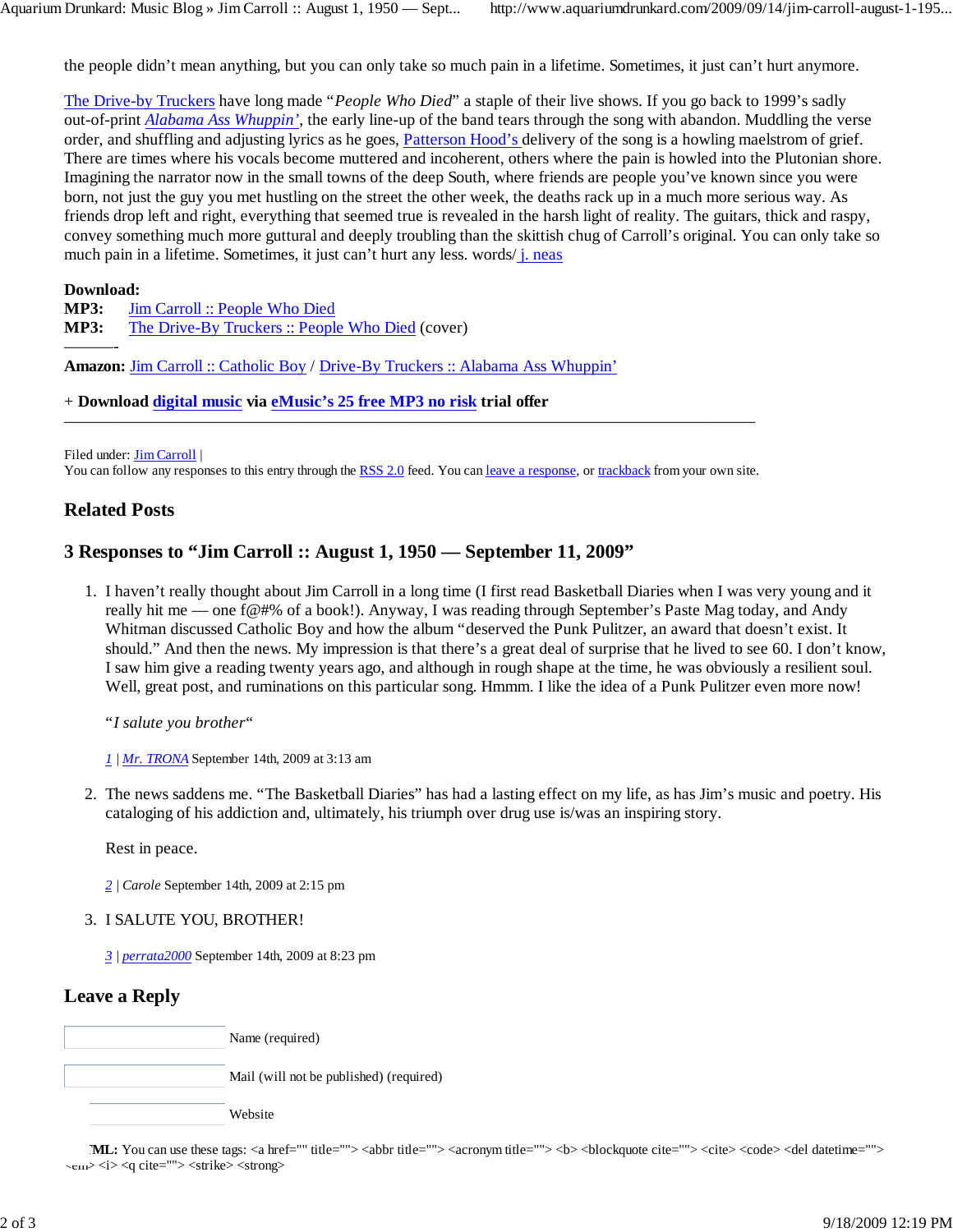the people didn't mean anything, but you can only take so much pain in a lifetime. Sometimes, it just can't hurt anymore.

The Drive-by Truckers have long made "*People Who Died*" a staple of their live shows. If you go back to 1999's sadly out-of-print *Alabama Ass Whuppin'*, the early line-up of the band tears through the song with abandon. Muddling the verse order, and shuffling and adjusting lyrics as he goes, Patterson Hood's delivery of the song is a howling maelstrom of grief. There are times where his vocals become muttered and incoherent, others where the pain is howled into the Plutonian shore. Imagining the narrator now in the small towns of the deep South, where friends are people you've known since you were born, not just the guy you met hustling on the street the other week, the deaths rack up in a much more serious way. As friends drop left and right, everything that seemed true is revealed in the harsh light of reality. The guitars, thick and raspy, convey something much more guttural and deeply troubling than the skittish chug of Carroll's original. You can only take so much pain in a lifetime. Sometimes, it just can't hurt any less. words/ j. neas

#### **Download:**

———-

**MP3: MP3:** The Drive-By Truckers :: People Who Died (cover) Jim Carroll :: People Who Died

**Amazon:** Jim Carroll :: Catholic Boy / Drive-By Truckers :: Alabama Ass Whuppin'

+ **Download digital music via eMusic's 25 free MP3 no risk trial offer**

Filed under: **Jim Carroll** |

You can follow any responses to this entry through the RSS 2.0 feed. You can leave a response, or trackback from your own site.

——————————————————————————————————————————

### **Related Posts**

## **3 Responses to "Jim Carroll :: August 1, 1950 — September 11, 2009"**

1. I haven't really thought about Jim Carroll in a long time (I first read Basketball Diaries when I was very young and it really hit me — one f@#% of a book!). Anyway, I was reading through September's Paste Mag today, and Andy Whitman discussed Catholic Boy and how the album "deserved the Punk Pulitzer, an award that doesn't exist. It should." And then the news. My impression is that there's a great deal of surprise that he lived to see 60. I don't know, I saw him give a reading twenty years ago, and although in rough shape at the time, he was obviously a resilient soul. Well, great post, and ruminations on this particular song. Hmmm. I like the idea of a Punk Pulitzer even more now!

"*I salute you brother*"

*1 | Mr. TRONA* September 14th, 2009 at 3:13 am

2. The news saddens me. "The Basketball Diaries" has had a lasting effect on my life, as has Jim's music and poetry. His cataloging of his addiction and, ultimately, his triumph over drug use is/was an inspiring story.

Rest in peace.

*2 | Carole* September 14th, 2009 at 2:15 pm

#### 3. I SALUTE YOU, BROTHER!

*3 | perrata2000* September 14th, 2009 at 8:23 pm

## **Leave a Reply**

| Name (required)                         |
|-----------------------------------------|
| Mail (will not be published) (required) |
| Website                                 |

**ML:** You can use these tags: <a href="" title=""> <abbr title=""> <acronym title=""> <b> <br/> \leftless \end{mathing} \end{mathing} \end{mathing} \end{mathing} \end{mathing} \end{mathing} \end{mathing} \end{mathing} \end <em> <i> <q cite=""> <strike> <strong>